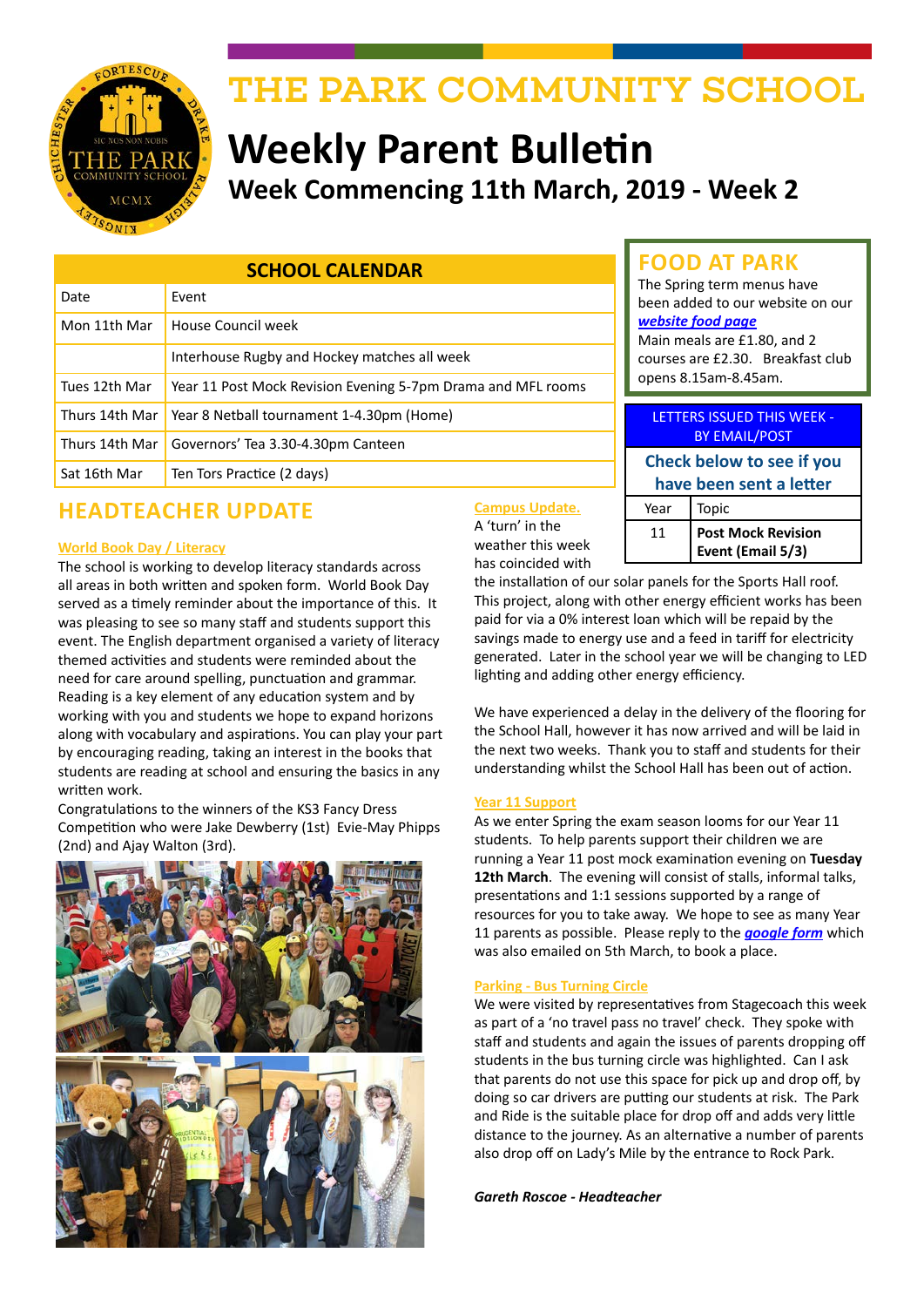

# THE PARK COMMUNITY SCHOOL

# **Weekly Parent Bulletin Week Commencing 11th March, 2019 - Week 2**

| <b>SCHOOL CALENDAR</b> |                                                              |
|------------------------|--------------------------------------------------------------|
| Date                   | Event                                                        |
| Mon 11th Mar           | House Council week                                           |
|                        | Interhouse Rugby and Hockey matches all week                 |
| Tues 12th Mar          | Year 11 Post Mock Revision Evening 5-7pm Drama and MFL rooms |
| Thurs 14th Mar         | Year 8 Netball tournament 1-4.30pm (Home)                    |
| Thurs 14th Mar         | Governors' Tea 3.30-4.30pm Canteen                           |
| Sat 16th Mar           | Ten Tors Practice (2 days)                                   |

## **HEADTEACHER UPDATE**

#### **World Book Day / Literacy**

The school is working to develop literacy standards across all areas in both written and spoken form. World Book Day served as a timely reminder about the importance of this. It was pleasing to see so many staff and students support this event. The English department organised a variety of literacy themed activities and students were reminded about the need for care around spelling, punctuation and grammar. Reading is a key element of any education system and by working with you and students we hope to expand horizons along with vocabulary and aspirations. You can play your part by encouraging reading, taking an interest in the books that students are reading at school and ensuring the basics in any written work.

Congratulations to the winners of the KS3 Fancy Dress Competition who were Jake Dewberry (1st) Evie-May Phipps (2nd) and Ajay Walton (3rd).



#### **Campus Update.**

A 'turn' in the weather this week has coincided with

| <b>BY EMAIL/POST</b>      |                                                |  |
|---------------------------|------------------------------------------------|--|
| Check below to see if you |                                                |  |
| have been sent a letter   |                                                |  |
| Year                      | Topic                                          |  |
| 11                        | <b>Post Mock Revision</b><br>Event (Email 5/3) |  |

LETTERS ISSUED THIS WEEK -

**FOOD AT PARK** The Spring term menus have been added to our website on our

Main meals are £1.80, and 2 courses are £2.30. Breakfast club

*[website food page](http://www.theparkschool.org.uk/food-park)*

opens 8.15am-8.45am.

the installation of our solar panels for the Sports Hall roof. This project, along with other energy efficient works has been paid for via a 0% interest loan which will be repaid by the savings made to energy use and a feed in tariff for electricity generated. Later in the school year we will be changing to LED lighting and adding other energy efficiency.

We have experienced a delay in the delivery of the flooring for the School Hall, however it has now arrived and will be laid in the next two weeks. Thank you to staff and students for their understanding whilst the School Hall has been out of action.

#### **Year 11 Support**

As we enter Spring the exam season looms for our Year 11 students. To help parents support their children we are running a Year 11 post mock examination evening on **Tuesday 12th March**. The evening will consist of stalls, informal talks, presentations and 1:1 sessions supported by a range of resources for you to take away. We hope to see as many Year 11 parents as possible. Please reply to the *[google form](https://goo.gl/forms/wURcZ58yJIsDLJY62)* which was also emailed on 5th March, to book a place.

#### **Parking - Bus Turning Circle**

We were visited by representatives from Stagecoach this week as part of a 'no travel pass no travel' check. They spoke with staff and students and again the issues of parents dropping off students in the bus turning circle was highlighted. Can I ask that parents do not use this space for pick up and drop off, by doing so car drivers are putting our students at risk. The Park and Ride is the suitable place for drop off and adds very little distance to the journey. As an alternative a number of parents also drop off on Lady's Mile by the entrance to Rock Park.

*Gareth Roscoe - Headteacher*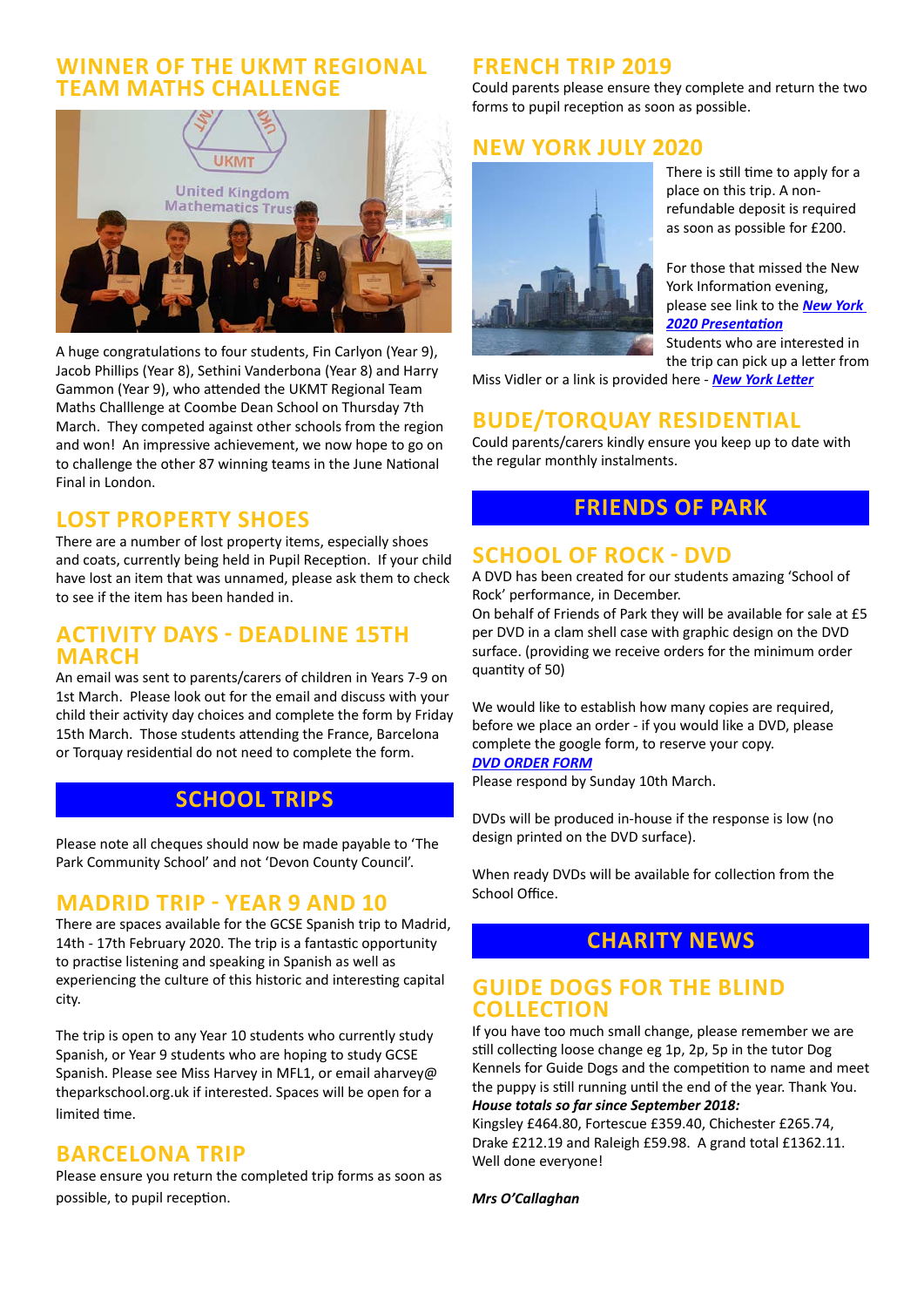#### **WINNER OF THE UKMT REGIONAL TEAM MATHS CHALLENGE**



A huge congratulations to four students, Fin Carlyon (Year 9), Jacob Phillips (Year 8), Sethini Vanderbona (Year 8) and Harry Gammon (Year 9), who attended the UKMT Regional Team Maths Challlenge at Coombe Dean School on Thursday 7th March. They competed against other schools from the region and won! An impressive achievement, we now hope to go on to challenge the other 87 winning teams in the June National Final in London.

#### **LOST PROPERTY SHOES**

There are a number of lost property items, especially shoes and coats, currently being held in Pupil Reception. If your child have lost an item that was unnamed, please ask them to check to see if the item has been handed in.

#### **ACTIVITY DAYS - DEADLINE 15TH MARCH**

An email was sent to parents/carers of children in Years 7-9 on 1st March. Please look out for the email and discuss with your child their activity day choices and complete the form by Friday 15th March. Those students attending the France, Barcelona or Torquay residential do not need to complete the form.

## **SCHOOL TRIPS**

Please note all cheques should now be made payable to 'The Park Community School' and not 'Devon County Council'.

#### **MADRID TRIP - YEAR 9 AND 10**

There are spaces available for the GCSE Spanish trip to Madrid, 14th - 17th February 2020. The trip is a fantastic opportunity to practise listening and speaking in Spanish as well as experiencing the culture of this historic and interesting capital city.

The trip is open to any Year 10 students who currently study Spanish, or Year 9 students who are hoping to study GCSE Spanish. Please see Miss Harvey in MFL1, or email aharvey@ theparkschool.org.uk if interested. Spaces will be open for a limited time.

### **BARCELONA TRIP**

Please ensure you return the completed trip forms as soon as possible, to pupil reception.

### **FRENCH TRIP 2019**

Could parents please ensure they complete and return the two forms to pupil reception as soon as possible.

### **NEW YORK JULY 2020**



There is still time to apply for a place on this trip. A nonrefundable deposit is required as soon as possible for £200.

For those that missed the New York Information evening, please see link to the *[New York](http://www.theparkschool.org.uk/sites/default/files/NewYorkMeetingPowerPoint-July2020.pdf)  [2020 Presentation](http://www.theparkschool.org.uk/sites/default/files/NewYorkMeetingPowerPoint-July2020.pdf)*

Students who are interested in the trip can pick up a letter from

Miss Vidler or a link is provided here - *[New York Letter](http://www.theparkschool.org.uk/sites/default/files/Payment%20Plan%20and%20Itinerary%20letter%202020.pdf)*

#### **BUDE/TORQUAY RESIDENTIAL**

Could parents/carers kindly ensure you keep up to date with the regular monthly instalments.

### **FRIENDS OF PARK**

### **SCHOOL OF ROCK - DVD**

A DVD has been created for our students amazing 'School of Rock' performance, in December.

On behalf of Friends of Park they will be available for sale at £5 per DVD in a clam shell case with graphic design on the DVD surface. (providing we receive orders for the minimum order quantity of 50)

We would like to establish how many copies are required, before we place an order - if you would like a DVD, please complete the google form, to reserve your copy. *[DVD ORDER FORM](https://bit.ly/2N4RUnU)*

Please respond by Sunday 10th March.

DVDs will be produced in-house if the response is low (no design printed on the DVD surface).

When ready DVDs will be available for collection from the School Office.

### **CHARITY NEWS**

#### **GUIDE DOGS FOR THE BLIND COLLECTION**

If you have too much small change, please remember we are still collecting loose change eg 1p, 2p, 5p in the tutor Dog Kennels for Guide Dogs and the competition to name and meet the puppy is still running until the end of the year. Thank You. *House totals so far since September 2018:*

Kingsley £464.80, Fortescue £359.40, Chichester £265.74, Drake £212.19 and Raleigh £59.98. A grand total £1362.11. Well done everyone!

*Mrs O'Callaghan*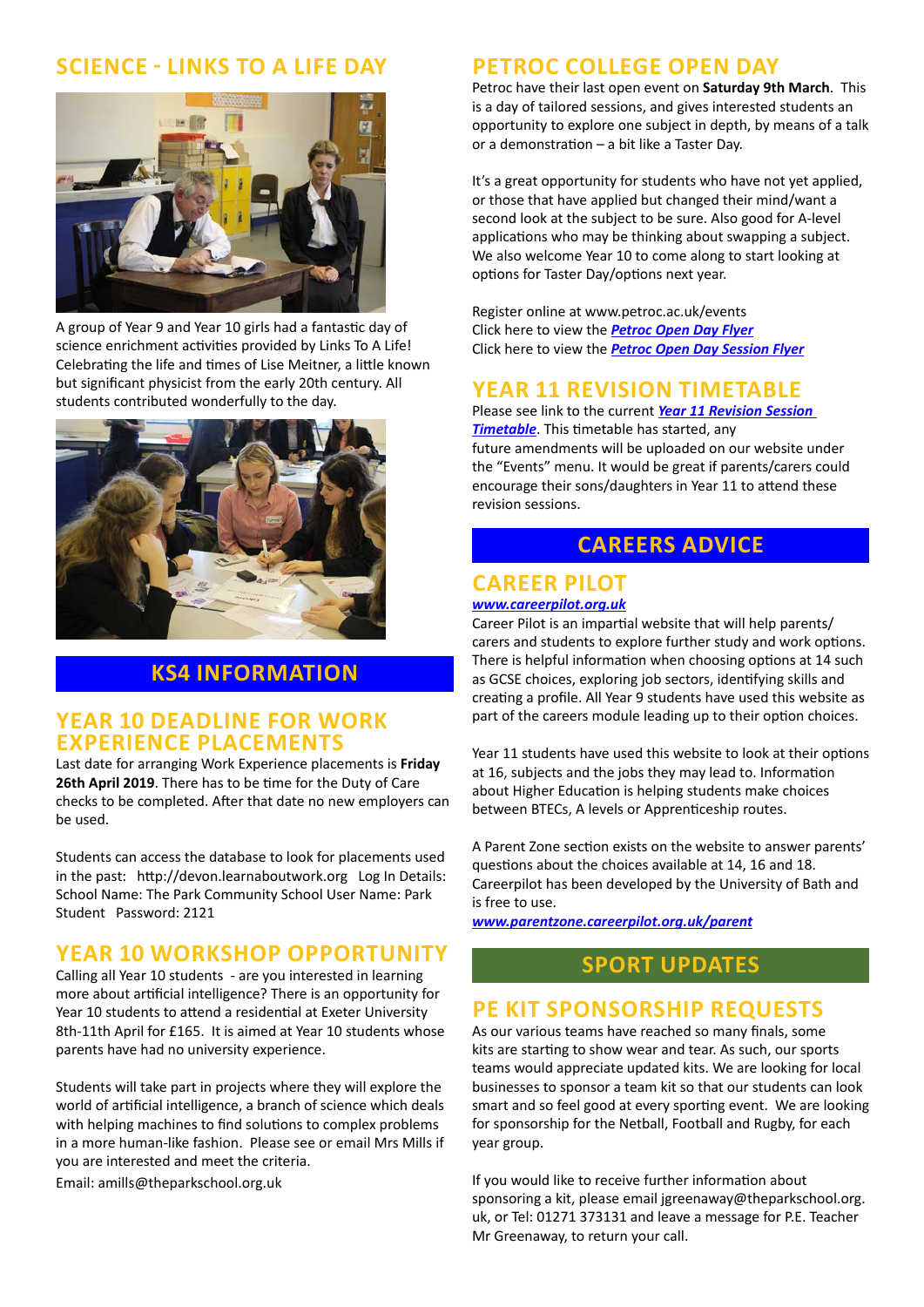### **SCIENCE - LINKS TO A LIFE DAY**



A group of Year 9 and Year 10 girls had a fantastic day of science enrichment activities provided by Links To A Life! Celebrating the life and times of Lise Meitner, a little known but significant physicist from the early 20th century. All students contributed wonderfully to the day.



### **KS4 INFORMATION**

#### **YEAR 10 DEADLINE FOR WORK EXPERIENCE PLACEMENTS**

Last date for arranging Work Experience placements is **Friday 26th April 2019**. There has to be time for the Duty of Care checks to be completed. After that date no new employers can be used.

Students can access the database to look for placements used in the past: http://devon.learnaboutwork.org Log In Details: School Name: The Park Community School User Name: Park Student Password: 2121

#### **YEAR 10 WORKSHOP OPPORTUNITY**

Calling all Year 10 students - are you interested in learning more about artificial intelligence? There is an opportunity for Year 10 students to attend a residential at Exeter University 8th-11th April for £165. It is aimed at Year 10 students whose parents have had no university experience.

Students will take part in projects where they will explore the world of artificial intelligence, a branch of science which deals with helping machines to find solutions to complex problems in a more human-like fashion. Please see or email Mrs Mills if you are interested and meet the criteria.

Email: amills@theparkschool.org.uk

#### **PETROC COLLEGE OPEN DAY**

Petroc have their last open event on **Saturday 9th March**. This is a day of tailored sessions, and gives interested students an opportunity to explore one subject in depth, by means of a talk or a demonstration – a bit like a Taster Day.

It's a great opportunity for students who have not yet applied, or those that have applied but changed their mind/want a second look at the subject to be sure. Also good for A-level applications who may be thinking about swapping a subject. We also welcome Year 10 to come along to start looking at options for Taster Day/options next year.

Register online at www.petroc.ac.uk/events Click here to view the *[Petroc Open Day Flyer](http://www.theparkschool.org.uk/sites/default/files/March%20Open%20Day_Secondary%20School%20Newsletter.pdf)* Click here to view the *[Petroc Open Day Session Flyer](http://www.theparkschool.org.uk/sites/default/files/March_Open%20Day_Timetable_V6.pdf)*

#### **YEAR 11 REVISION TIMETABLE**

Please see link to the current *[Year 11 Revision Session](https://docs.google.com/document/d/1dNMh7-L1kyihGF64pufxK6rpksF0LmhP7VMcilHf7oM/edit?usp=sharing)  [Timetable](https://docs.google.com/document/d/1dNMh7-L1kyihGF64pufxK6rpksF0LmhP7VMcilHf7oM/edit?usp=sharing)*. This timetable has started, any future amendments will be uploaded on our website under the "Events" menu. It would be great if parents/carers could encourage their sons/daughters in Year 11 to attend these revision sessions.

#### **CAREERS ADVICE**

# **CAREER PILOT**

*[www.careerpilot.org.uk](http://www.careerpilot.org.uk)*

Career Pilot is an impartial website that will help parents/ carers and students to explore further study and work options. There is helpful information when choosing options at 14 such as GCSE choices, exploring job sectors, identifying skills and creating a profile. All Year 9 students have used this website as part of the careers module leading up to their option choices.

Year 11 students have used this website to look at their options at 16, subjects and the jobs they may lead to. Information about Higher Education is helping students make choices between BTECs, A levels or Apprenticeship routes.

A Parent Zone section exists on the website to answer parents' questions about the choices available at 14, 16 and 18. Careerpilot has been developed by the University of Bath and is free to use.

*[www.parentzone.careerpilot.org.uk/parent](http://www.parentzone.careerpilot.org.uk/parent)*

#### **SPORT UPDATES**

#### **PE KIT SPONSORSHIP REQUESTS**

As our various teams have reached so many finals, some kits are starting to show wear and tear. As such, our sports teams would appreciate updated kits. We are looking for local businesses to sponsor a team kit so that our students can look smart and so feel good at every sporting event. We are looking for sponsorship for the Netball, Football and Rugby, for each year group.

If you would like to receive further information about sponsoring a kit, please email jgreenaway@theparkschool.org. uk, or Tel: 01271 373131 and leave a message for P.E. Teacher Mr Greenaway, to return your call.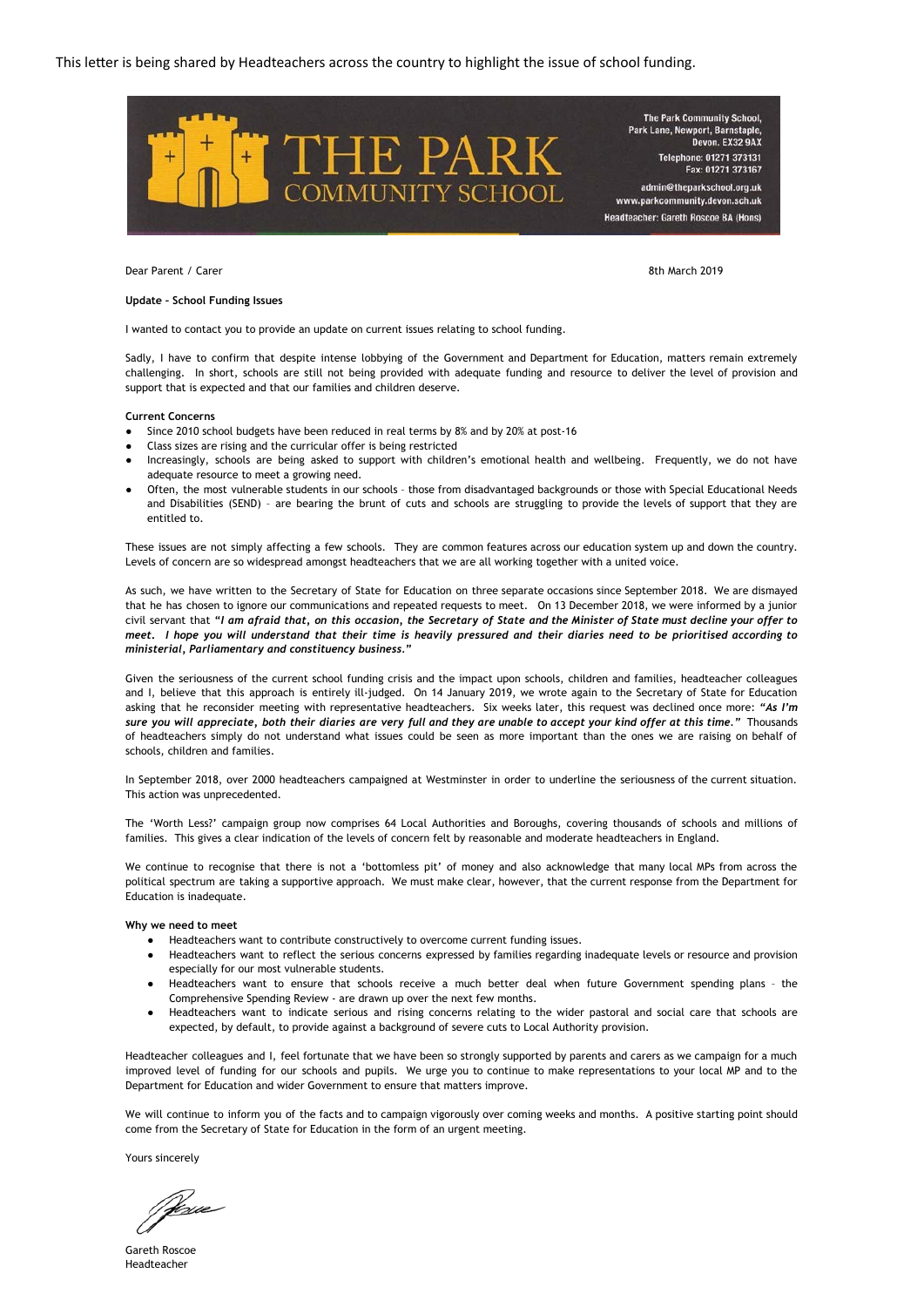

Dear Parent / Carer 8th March 2019

#### **Update – School Funding Issues**

I wanted to contact you to provide an update on current issues relating to school funding.

Sadly, I have to confirm that despite intense lobbying of the Government and Department for Education, matters remain extremely challenging. In short, schools are still not being provided with adequate funding and resource to deliver the level of provision and support that is expected and that our families and children deserve.

#### **Current Concerns**

- Since 2010 school budgets have been reduced in real terms by 8% and by 20% at post-16
- Class sizes are rising and the curricular offer is being restricted
- Increasingly, schools are being asked to support with children's emotional health and wellbeing. Frequently, we do not have adequate resource to meet a growing need.
- Often, the most vulnerable students in our schools those from disadvantaged backgrounds or those with Special Educational Needs and Disabilities (SEND) – are bearing the brunt of cuts and schools are struggling to provide the levels of support that they are entitled to.

These issues are not simply affecting a few schools. They are common features across our education system up and down the country. Levels of concern are so widespread amongst headteachers that we are all working together with a united voice.

As such, we have written to the Secretary of State for Education on three separate occasions since September 2018. We are dismayed that he has chosen to ignore our communications and repeated requests to meet. On 13 December 2018, we were informed by a junior civil servant that "I am afraid that, on this occasion, the Secretary of State and the Minister of State must decline your offer to meet. I hope you will understand that their time is heavily pressured and their diaries need to be prioritised according to *ministerial, Parliamentary and constituency business.***"**

Given the seriousness of the current school funding crisis and the impact upon schools, children and families, headteacher colleagues and I, believe that this approach is entirely ill-judged. On 14 January 2019, we wrote again to the Secretary of State for Education asking that he reconsider meeting with representative headteachers. Six weeks later, this request was declined once more: *"As I'm* sure you will appreciate, both their diaries are very full and they are unable to accept your kind offer at this time." Thousands of headteachers simply do not understand what issues could be seen as more important than the ones we are raising on behalf of schools, children and families.

In September 2018, over 2000 headteachers campaigned at Westminster in order to underline the seriousness of the current situation. This action was unprecedented.

The 'Worth Less?' campaign group now comprises 64 Local Authorities and Boroughs, covering thousands of schools and millions of families. This gives a clear indication of the levels of concern felt by reasonable and moderate headteachers in England.

We continue to recognise that there is not a 'bottomless pit' of money and also acknowledge that many local MPs from across the political spectrum are taking a supportive approach. We must make clear, however, that the current response from the Department for Education is inadequate.

#### **Why we need to meet**

- Headteachers want to contribute constructively to overcome current funding issues.
- Headteachers want to reflect the serious concerns expressed by families regarding inadequate levels or resource and provision especially for our most vulnerable students.
- Headteachers want to ensure that schools receive a much better deal when future Government spending plans the Comprehensive Spending Review - are drawn up over the next few months.
- Headteachers want to indicate serious and rising concerns relating to the wider pastoral and social care that schools are expected, by default, to provide against a background of severe cuts to Local Authority provision.

Headteacher colleagues and I, feel fortunate that we have been so strongly supported by parents and carers as we campaign for a much improved level of funding for our schools and pupils. We urge you to continue to make representations to your local MP and to the Department for Education and wider Government to ensure that matters improve.

We will continue to inform you of the facts and to campaign vigorously over coming weeks and months. A positive starting point should come from the Secretary of State for Education in the form of an urgent meeting.

Yours sincerely

Nexee

Gareth Roscoe Headteacher